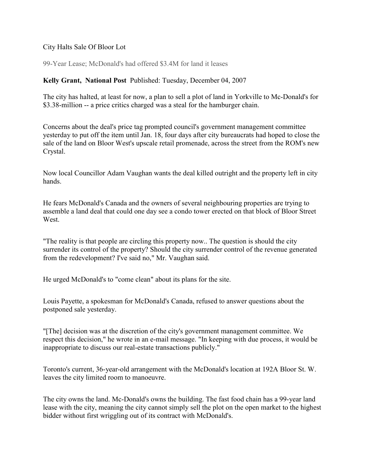## City Halts Sale Of Bloor Lot

99-Year Lease; McDonald's had offered \$3.4M for land it leases

## Kelly Grant, National Post Published: Tuesday, December 04, 2007

The city has halted, at least for now, a plan to sell a plot of land in Yorkville to Mc-Donald's for \$3.38-million -- a price critics charged was a steal for the hamburger chain.

Concerns about the deal's price tag prompted council's government management committee yesterday to put off the item until Jan. 18, four days after city bureaucrats had hoped to close the sale of the land on Bloor West's upscale retail promenade, across the street from the ROM's new Crystal.

Now local Councillor Adam Vaughan wants the deal killed outright and the property left in city hands.

He fears McDonald's Canada and the owners of several neighbouring properties are trying to assemble a land deal that could one day see a condo tower erected on that block of Bloor Street West.

"The reality is that people are circling this property now.. The question is should the city surrender its control of the property? Should the city surrender control of the revenue generated from the redevelopment? I've said no," Mr. Vaughan said.

He urged McDonald's to "come clean" about its plans for the site.

Louis Payette, a spokesman for McDonald's Canada, refused to answer questions about the postponed sale yesterday.

"[The] decision was at the discretion of the city's government management committee. We respect this decision," he wrote in an e-mail message. "In keeping with due process, it would be inappropriate to discuss our real-estate transactions publicly."

Toronto's current, 36-year-old arrangement with the McDonald's location at 192A Bloor St. W. leaves the city limited room to manoeuvre.

The city owns the land. Mc-Donald's owns the building. The fast food chain has a 99-year land lease with the city, meaning the city cannot simply sell the plot on the open market to the highest bidder without first wriggling out of its contract with McDonald's.